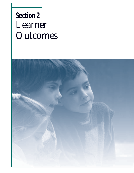# **Section 2** *Learner Outcomes*

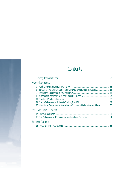## **Contents**

|   | Academic Outcomes                                                                                    |  |
|---|------------------------------------------------------------------------------------------------------|--|
|   |                                                                                                      |  |
| 8 |                                                                                                      |  |
| 9 |                                                                                                      |  |
|   |                                                                                                      |  |
|   |                                                                                                      |  |
|   |                                                                                                      |  |
|   | 13 International Comparisons of 8 <sup>th</sup> -Graders' Performance in Mathematics and Science  60 |  |
|   | Social and Cultural Outcomes                                                                         |  |
|   |                                                                                                      |  |
|   |                                                                                                      |  |
|   | Economic Outcomes                                                                                    |  |
|   |                                                                                                      |  |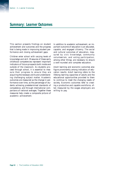#### **Summary: Learner Outcomes**

This section presents findings on student achievement and outcomes and the progress that is being made in improving student performance and closing achievement gaps.

Children enter school with varying levels of knowledge and skill. Measures of these early childhood competencies represent important indicators of future prospects both inside and outside of the classroom. As students proceed through school, it is essential to measure their progress to ensure they are acquiring the necessary skills and understanding challenging subject matter. Academic outcomes are measured as the change in performance over time, as the percentage of students achieving predetermined standards of competence, and through international comparisons of national averages. Together these measures help create a composite picture of academic achievement.

In addition to academic achievement, an important outcome of education is an educated, capable, and engaged citizenry. The social and cultural outcomes of education, measured by civic knowledge, community volunteerism, and voting participation, among other things, are necessary to ensure a well-rounded and complete education.

Adult learning and economic outcomes also figure prominently among indicators of education results. Adult learning refers to the lifelong learning capacities of adults and the educational opportunities provided to them to continue to meet the changing needs of society. Economic outcomes refer to creating a productive and capable workforce, often measured by the wages employers are willing to pay.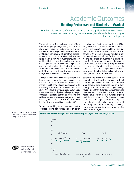### *Academic Outcomes* **Reading Performance of Students in Grade 4**

*Fourth-grade reading performance has not changed significantly since 1992. In each assessment year, including the most recent, female students scored higher than their male peers.*

The results of the National Assessment of Educational Progress (NAEP) for 4<sup>th</sup>-graders in 2000 show overall stability in students' reading performance: the average reading scale score for 2000 is not significantly different from the scale scores in 1992, 1994, or 1998. Achievement levels, which specify what students should know and be able to do, provide another measure of student performance. Higher percentages of students were at or above the *Proficient* level and at the *Advanced* level in 2000 than in 1992 (32 and 29 percent and 8 and 6 percent, respectively) (see supplemental table 7-1).

The results from 2000 show female students continuing to outperform their male counterparts in reading. Comparison of male and female performance in 2000 shows higher percentages of female 4th-graders scored at or above *Basic*, at or above *Proficient*, and at the *Advanced* level. Among males, there was no significant change in the percentages of students scoring at or above each achievement level across assessment years. In 2000, however, the percentage of females at or above the *Proficient* level was higher than in 1992.

Without controlling for socioeconomic status, 4th-grade reading achievement varied by different school and family characteristics. In 2000, 4th-graders in schools where more than 75 percent of the students were eligible for the National School Lunch Program did not perform as well as 4th-graders in schools with lower percentages of students eligible for the program. As the percentage of students in a school eligible for the program increased, the average score decreased. When comparing differences based on school location, students in central city schools had a lower average reading score than their peers who attended schools in other locations (see supplemental table 7-2).

School-related activities or family behavior were associated with student performance (without controlling for socioeconomic status). Students who discussed their studies at home on a daily, weekly, or monthly basis had higher average reading scores than students who never discussed their studies at home. Practice is important to reading development. Higher numbers of pages read daily in school and for homework were associated with higher average reading scale scores. Fourth-graders who reported reading 11 or more pages daily had the highest average score, outperforming their peers who reported reading fewer pages.

(2001). *The Nation's Report Card: Fourth-Grade Reading 2000* (NCES 2001–499).



SOURCE: U.S. Department of Education, NCES.<br>C0001) The Netfort Report Card: Fourth Code READING PERFORMANCE: Average reading scale scores for 4<sup>th</sup>-graders , by sex: 1992, 1994, 1998, and 2000

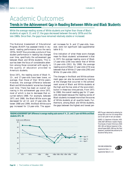#### **Trends in the Achievement Gap in Reading Between White and Black Students**

*While the average reading scores of White students are higher than those of Black students at ages 9, 13, and 17, the gaps decreased between the early 1970s and the late 1980s. Since then, the gaps have remained relatively stable or increased.*

The National Assessment of Educational Progress (NAEP) has assessed trends in students' reading performance since the early 1970s. NAEP thus provides a picture of how student performance in reading has changed over time, specifically the achievement gap between Black and White students. This issue has been the focus of considerable attention among those concerned with equity in the quality of education provided to America's students.

Since 1971, the reading scores of Black 9-, 13-, and 17-year-olds have been lower, on average, than those of their White peers. However, the average difference between Black and White students' scores has changed over time. There has been an overall narrowing in this achievement gap since 1971, most of which is due to decreases that occurred before 1988. For example, between 1971 and 1988, the Black-White score gap decreased for all 13- and 17-year-olds. Between 1988 and 1999, the Black-White score gap increased for 13-year-olds. The apparent increases for 9- and 17-year-olds, however, were not significant (see supplemental table 8-1).

One indication of what these score changes mean for Black students' achievement is that in 1971 the average reading score of Black 17-year-olds (239) was below that of White 13-year-olds (261). By 1988, the average reading score of Black 17-year-olds (274) was between that of White 17-year-olds (295) and White 13-year-olds (261).

The changes in the Black and White achievement gaps can also be examined by looking at the changes that occurred in the achievement scores of Black and White students at the high and the low ends of the score distribution in these two time periods. From 1971 to 1988, the overall reading gap for 17-yearolds decreased because the reading scores of Black students increased more than the scores of White students at all quartile levels. Furthermore, among Black and White students, the gaps between the highest and lowest per-



NOTE: The gap is determined by subtracting the average Black score from the average White score at each grade for each year assessed.

SOURCE: U.S. Department of Education, NCES. (2000). *NAEP 1999 Trends in Academic Progress: Three Decades of Student Performance* (NCES 2000–469) and National Assessment of Educational Progress (NAEP), 1999 Long-Term Trend Assessment, unpublished data produced by the Educational Testing Service.

FOR MORE INFORMATION: Supplemental Notes 1, 3 Supplemental Tables 8-1, 8-2

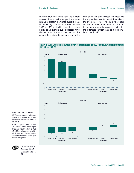forming students narrowed: the average scores of those in the lowest quartile increased relative to those in the highest quartile. These trends changed or were reversed between 1988 and 1999, at which time the scores of Blacks at all quartile levels decreased, while the scores of Whites varied by quartile. Among Black students, there were no further

changes in the gaps between the upper and lower quartile scores. Among White students, the average scores of those in the upper quartile increased, while the scores of those in the bottom quartile decreased, widening the difference between them to a level similar to that in 1971.



\*Change is greater than 0 but less than .5. NOTE: The change for each race is determined by subtracting the average score in the earlier year from the average score in the later year for each quartile.

SOURCE: U.S. Department of Education, NCES. (2000). *NAEP 1999 Trends in Academic Progress: Three Decades of Student Performance* (NCES 2000–469) and National Assessment of Educational Progress (NAEP), 1999 Long-Term Trend Assessment, unpublished data produced by the Educational Testing Service.



FOR MORE INFORMATION: Supplemental Notes1, 3 Supplemental Tables 8-1, 8-2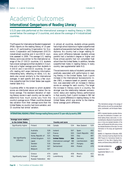#### *Academic Outcomes* **International Comparisons of Reading Literacy**

*U.S.15-year-olds performed at the international average in reading literacy in 2000, scored below the average of 3 countries, and above the average of 4 industrialized countries.*

The Program for International Student Assessment (PISA) reports on the reading literacy of 15-yearolds in 27 participating Organization for Economic Cooperation and Development (OECD) industrialized countries and 4 non-OECD countries assessed in 2000. The average U.S. reading literacy score was similar to the international average of the 27 OECD countries. U.S. students had a lower average score than students in 3 countries and a higher average score than students in 4 OECD and 3 non-OECD countries. On specific reading skill areas (retrieving information, interpreting texts, reflecting on texts), U.S. students also scored similarly to the international averages. In each specific skill area, a few countries outperformed the United States (see supplemental table 9-1).

Countries differ in the extent to which students' scores are distributed above and below the national average. The standard deviation of reading literacy scores in each country can be used to determine how much scores vary from the country's average score. Fifteen countries showed less variation from their average score than the United States, no country had more variation, and 15 countries had similar variation.

In almost all countries, students whose parents had a high school diploma or higher outperformed students whose parents had less than a high school diploma. No country had a larger reading literacy point difference between students whose parents had a bachelor's degree or higher and those whose parents had not completed high school than the United States. In addition, females outperformed males in reading literacy in every country (see supplemental table 9-2).

The socioeconomic status of students' parents was positively associated with performance in reading literacy in the United States. Each 1-point increase in the International Socioeconomic Index (ISEI), a measure based on parents' occupation, was associated with an increase in literacy scores on average for each country. The larger the increase in literacy score in a country, the stronger was the relationship between socioeconomic status and reading literacy performance in that country. Each 1-point increase in ISEI led to a 2.1-point difference in reading literacy in the United States, which was similar to the international average point difference.

\*The international average is the average of OECD countries only and thus excludes Brazil, Latvia, Liechtenstein, and the Russian Federation.

NOTE: A standard deviation provides information about the distribution of students' combined reading literacy scale scores. In a normal distribution, 68 percent of scores fall within plus or minus one standard deviation of the mean, and 95 percent fall within plus or minus two standard deviations of the mean. For more information on this study, see *Supplemental Note 4*.

SOURCE: U.S. Department of Education, NCES. (2001). *Outcomes of Learning: Results from the 2000 Program for International Student Assessment of 15-Year-Olds in Reading, Mathematics, and Science Literacy* (NCES 2002–115).

FOR MORE INFORMATION: Supplemental Note 4 Supplemental Tables 9-1, 9-2 OECD 2001

**INTERNATIONAL READING LITERACY: Average reading literacy score of 15-year-olds, by country: 2000**

| to the United States<br>Country and score<br>Significantly higher<br>Finland<br>534<br>New Zealand<br>546<br>Canada | Average score relative |           |     |                |     |       |     |
|---------------------------------------------------------------------------------------------------------------------|------------------------|-----------|-----|----------------|-----|-------|-----|
|                                                                                                                     |                        |           |     |                |     |       |     |
|                                                                                                                     |                        |           |     |                |     |       | 529 |
|                                                                                                                     |                        | Australia | 528 | <b>Iceland</b> | 507 | Spain | 493 |
| Czech Republic<br>Ireland<br>527<br>505<br>France                                                                   |                        |           |     |                |     |       | 492 |
| Korea, Republic of<br>525<br>505<br>Italy<br>Norway                                                                 |                        |           |     |                |     |       | 487 |
| Not significantly<br><b>United Kingdom</b><br>523<br><b>United States</b><br>504<br>Germany                         |                        |           |     |                |     |       | 484 |
| different<br>International average*<br>500<br>Liechtenstein<br>522<br>Japan                                         |                        |           |     |                |     |       | 483 |
| 497<br>Sweden<br>516<br><b>Denmark</b><br>Hungary                                                                   |                        |           |     |                |     |       | 480 |
| Switzerland<br>494<br>Poland<br>Austria<br>507                                                                      |                        |           |     |                |     |       | 479 |
| Belgium<br>507                                                                                                      |                        |           |     |                |     |       |     |
| 474<br>458<br>Mexico<br>Latvia<br>Greece                                                                            |                        |           |     |                |     |       | 422 |
| Luxembourg<br>441<br>Brazil<br>Significantly lower<br>Portugal<br>470                                               |                        |           |     |                |     |       | 396 |
| <b>Russian Federation</b><br>462                                                                                    |                        |           |     |                |     |       |     |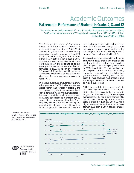#### **Mathematics Performance of Students in Grades 4, 8, and 12**

*The mathematics performance of 4th- and 8th-graders increased steadily from 1990 to 2000, while the performance of 12th-graders increased from 1990 to 1996 but then declined between 1996 and 2000.*

The National Assessment of Educational Progress (NAEP) has assessed performance in mathematics in grades 4, 8, and 12 since 1990. Students in grades 4 and 8 showed steady growth in mathematics achievement from 1990 to 2000. In contrast, 12<sup>th</sup>-graders in 2000 scored higher than in 1990 but lower than in 1996. Achievement levels, which identify what students should know and be able to do at each grade, provide another measure of student performance. In 2000, 26 percent of  $4<sup>th</sup>$ -graders, 27 percent of  $8<sup>th</sup>$ -graders, and 17 percent of 12th-graders performed at or above the *Proficient* levels for each grade (see supplemental table 10-1).

Did certain subgroups of students outperform other groups in 2000? Males, on average, scored higher than females in grades 8 and 12; however, in grade 4, there was no significant difference between the average scores of boys and girls. Whites at all three grade levels and Asian/Pacific Islanders in grades 8 and 12 scored higher, on average, than their Black, Hispanic, and American Indian counterparts. Asian/Pacific Islanders scored higher than Whites at grade 12. The level of poverty in the school was associated with student achievement. In all three grades, average scale scores decreased as the percentage of students in the school eligible for a free or reduced-price lunch increased (see supplemental table 10-2).

Assessment results were associated with the opportunity to study challenging material and the degree to which students took advantage of these opportunities. Among  $8<sup>th</sup>$ -grade students in 2000, those taking  $8<sup>th</sup>$ -grade mathematics or prealgebra scored lower than those taking algebra I or II, geometry, or sequential or integrated mathematics. Twelfth-graders who had taken the most advanced mathematics courses scored higher than students who had taken lowor middle-level courses.

NAEP also provided a state comparison of public schools in grades 4 and 8. Of the 36 jurisdictions that participated in the assessment in  $4<sup>th</sup>$  grade in 1992 and 2000, 26 had a higher average score and 1 had a lower score in 2000 than in 1992. Thirty-one jurisdictions participated in grade 8 in 1990 and 2000; 27 had a higher average score, and none had a lower score in 2000 than in 1990 (see supplemental table 10-3).

\*Significantly different from 2000. SOURCE: U.S. Department of Education, NCES. (2001). *The Nation's Report Card: Mathematics 2000* (NCES 2001–517).



FOR MORE INFORMATION: Supplemental Notes 1, 3 Supplemental Tables 10-1, 10-2, 10-3

**MATHEMATICS PERFORMANCE: Average mathematics scale scores for 4th-, 8th-, and 12th-graders: 1990, 1992, 1996, and 2000**

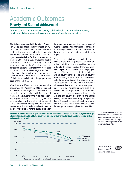*Indicator 11*

### *Academic Outcomes* **Poverty and Student Achievement**

*Compared with students in low-poverty public schools, students in high-poverty public schools have lower achievement scores in 4th-grade mathematics.*

The National Assessment of Educational Progress (NAEP) collects background information on students, teachers, and schools, permitting analysis of student achievement relative to the poverty level of public schools, measured as the percentage of students eligible for free or reduced-price lunch. In 2000, higher levels of students eligible for subsidized lunch were generally associated with lower scores on the  $4<sup>th</sup>$ -grade mathematics assessment. Students in schools with more than 50 percent of their students eligible for free or reduced-price lunch had a lower average score than students in schools with a quarter or fewer of their students eligible for the program (see supplemental table 11-1).

Was there a difference in the mathematics achievement of 4th-graders in 2000 in high and low poverty schools regardless of whether or not the student was personally eligible for subsidized lunch? Among students who were not personally eligible for the school lunch program, students in schools with more than 50 percent of their students eligible for the program had a lower average score than those in schools with a quarter or fewer eligible. Among those eligible for

the school lunch program, the average score of students in schools with more than 75 percent of students eligible was lower than the score for those in schools with 11–50 percent of students eligible.

Certain characteristics of the highest poverty schools (more than 75 percent of students eligible for subsidized lunch) are evident. Relative to the total 4<sup>th</sup>-grade population, there was a lower percentage of White students and a higher percentage of Black and Hispanic students in the highest poverty schools. The highest poverty schools had higher rates of student absenteeism and a lower percentage of their students with a "very positive" attitude toward academic achievement than schools with the least poverty (i.e., those with 10 percent or fewer eligible). In addition, the highest poverty schools in 2000 reported less parental involvement than schools with the least poverty. For example, the highest poverty schools were more likely to report less than 50 percent parent participation in open houses or back-to-school nights than schools with the least poverty (see supplemental table 11-2).

POVERTY AND ACHIEVEMENT: Average scale score of public school students in 4<sup>th</sup>-grade mathematics, by the percentage \*For the eligible student category, there were **of students in the school eligible for free or reduced-price lunch and whether the student was eligible for free or reduced-price lunch: 2000**



too few sample cases for a reliable estimate. SOURCE: U.S. Department of Education, NCES. National Assessment of Educational Progress

(NAEP), unpublished data provided by the Educational Testing Service, 2000.

FOR MORE INFORMATION: Supplemental Notes 1, 3 Supplemental Tables 11-1, 11-2

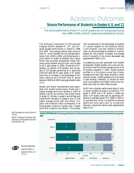#### **Science Performance of Students in Grades 4, 8, and 12**

*The science performance of both 4th- and 8th-graders did not change significantly from 1996 to 2000, while 12th-grade scores declined by 3 points.*

The National Assessment of Educational Progress (NAEP) assessed  $4<sup>th</sup>$ -,  $8<sup>th</sup>$ -, and  $12<sup>th</sup>$ grade student performance in science in 1996 and 2000. The average science scale scores of both 4<sup>th</sup>- and 8<sup>th</sup>-graders did not change significantly from 1996 to 2000, while there was a 3 point decline in grade 12 between the 2 years. NAEP also provides achievement levels indicating what students should know and be able to do in each grade. In 2000, 29 percent of  $4<sup>th</sup>$ graders, 32 percent of 8th-graders, and 18 percent of 12th-graders performed at or above the *Proficient* level set for each grade. In 8<sup>th</sup> grade, there was an increase in the percentage of students reaching the *Proficient* level or above between 1996 and 2000 (see supplemental table 12-1).

Student and school characteristics were associated with student performance. Males had a higher average score than females in 2000 at grades 4 and 8, but the two had similar scores in grade 12. Whites in grade 4 and Whites and Asian/Pacific Islanders in grades 8 and 12 had higher average scores than their Black, Hispanic, and American Indian counterparts; in all three grades, American Indians had a higher score than Hispanics and Blacks. The poverty

rate, as measured by the percentage of students in a school eligible for the National School Lunch Program, was also related to achievement. As the percentage of students in a school eligible for the program increased, the average score of students in the school decreased (see supplemental table 12-2*)*.

Coursetaking was also associated with student achievement. Eighth-graders who were not taking science had the lowest average scores of all 8th-graders assessed in 2000. Eighth-graders enrolled in a life science course had a lower average score than their peers enrolled in other science courses. Twelfth-graders who had taken 1st-year biology, chemistry, or physics at some point since grade 8 had higher scores than students who had not taken these courses.

NAEP also collected performance data of public school students by state or jurisdiction in  $4<sup>th</sup>$ grade in 2000 and in 8<sup>th</sup> grade in 1996 and 2000. In  $8<sup>th</sup>$  grade, there was no significant difference in average scores from 1996 to 2000 in 33 jurisdictions, while 3 jurisdictions showed significant score gains and no jurisdiction showed a significant decline (see supplemental table 12-3).

NOTE: Percentages may not add to 100 due to rounding.

SOURCE: U.S. Department of Education, NCES. (forthcoming). *The Nation's Report Card: Science 2000* (NCES 2002–451).

FOR MORE INFORMATION: Supplemental Notes 1, 3 Supplemental Tables 12-1,

12-2, 12-3

**SCIENCE PERFORMANCE: Percentage distribution of students performing at each science achievement level, by grade: 2000**

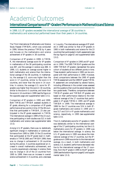#### **International Comparisons of 8<sup>th</sup>-Graders' Performance in Mathematics and Science**

*In 1999, U.S. 8th-graders exceeded the international average of 38 countries in mathematics and science but performed lower than their peers in 14 countries.*

The Third International Mathematics and Science Study–Repeat (TIMSS-R), which was conducted in 1999, follows the previous TIMSS by 4 years and focuses on the mathematics and science achievement of 8th-graders in 38 countries.

*Comparison of 8th-graders in 1999.* In TIMSS-R, the international average score for  $8<sup>th</sup>$ -graders in mathematics of the 38 participating countries was 487, and the average in science was 488. In 1999, U.S. students on average scored higher in both mathematics and science than the international average of the 38 countries. In mathematics, the average U.S. score was higher than the score in 17 countries, similar to the score in 6 countries, and lower than the score in 14 countries. In science, the average U.S. score for  $8<sup>th</sup>$ graders was higher than the score in 18 countries, similar to the score in 5 countries, and lower than the score in 14 countries in 1999 (see the figure on the opposite page and supplemental table 13-1).

*Comparison of 8th-graders in 1995 and 1999.* Both TIMSS and TIMSS-R assessed students in  $8<sup>th</sup>$  grade, allowing for a comparison of  $8<sup>th</sup>$ -grade performance at two points in time. Of the 38 countries that participated in TIMSS-R, 23 also participated in the  $8<sup>th</sup>$ -grade assessment in TIMSS. The international average in 1999 of the 23 countries participating in both studies was 521 in both mathematics and science (see supplemental table 13-2).

Among U.S. 8<sup>th</sup>-graders, there was no statistically significant change in mathematics or science performance from 1995 to 1999. Of the 23 countries that participated at the  $8<sup>th</sup>$ -grade level in mathematics in TIMSS 1995 and TIMSS-R 1999, there was no change in achievement in 19 countries during this period, 3 countries experienced an increase in overall mathematics achievement, and 1 country experienced a decrease. In science, there was no change in 18 of the 23 countries from 1995 to 1999, there was an increase in overall science achievement in 4 countries, and a decrease

in 1 country. The international average of  $8<sup>th</sup>$ -graders in 1999 was similar to that of  $8<sup>th</sup>$ -graders in 1995 in both mathematics and science for the 23 countries that participated in both assessments (see the top figure on page 62 and supplemental table 13-2).

*Comparison of 4th-graders in 1995 and 8th-grad*ers in 1999. The 1995 TIMSS 4<sup>th</sup>-graders and the 1999 TIMSS-R 8<sup>th</sup>-graders represented the same cohort of students at two different points in time. These students' performance in 1995 can be compared with their performance in 1999. However, direct comparisons between the 1995 4<sup>th</sup>-grade TIMSS assessment and the 1999 8<sup>th</sup>-grade TIMSS-R assessment are complicated by several factors, including differences in the content areas assessed and the questions that could be asked between the two grade levels. Therefore, comparisons between TIMSS 4<sup>th</sup>-graders and TIMSS-R 8<sup>th</sup>-graders are based on their performance relative to the international average of the 17 countries that participated in 4<sup>th</sup>-grade TIMSS in 1995 and 8<sup>th</sup>-grade TIMSS-R in 1999. The international average in 1999 for the 17 countries was  $524$  in both  $8<sup>th</sup>$ grade mathematics and science in 1999 and it was 517 and 514 in 4<sup>th</sup>-grade mathematics and science, respectively, in 1995 (see supplemental table 13-3).

The U.S. mathematics score for 4<sup>th</sup>-graders in 1995 was statistically similar to the international average of the 17 participating countries, but the U.S. mathematics score for 8<sup>th</sup>-graders in 1999 was below the international average. In science, the U.S.  $4<sup>th</sup>$ -grade score in 1995 was above the international average of the  $17$  countries, but the  $8<sup>th</sup>$ grade score in 1999 was similar to the international average. As a result, in both mathematics and science, U.S. students' performance decreased relative to the international average of the 17 countries, from the  $4<sup>th</sup>$  grade in 1995 to the  $8<sup>th</sup>$  grade in 1999 (see the bottom figure on page 62 and supplemental table 13-3).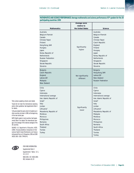|                                                                                                                                                                                                                                                                                   | Average score                  |                                                                                                                                                                                                                                                                                               |
|-----------------------------------------------------------------------------------------------------------------------------------------------------------------------------------------------------------------------------------------------------------------------------------|--------------------------------|-----------------------------------------------------------------------------------------------------------------------------------------------------------------------------------------------------------------------------------------------------------------------------------------------|
|                                                                                                                                                                                                                                                                                   | relative to                    |                                                                                                                                                                                                                                                                                               |
| <b>Mathematics</b>                                                                                                                                                                                                                                                                | the United States              | Science                                                                                                                                                                                                                                                                                       |
| Australia<br>Belgium-Flemish<br>Canada<br>Chinese Taipei<br>Finland<br>Hong Kong, SAR<br>Hungary<br>Japan<br>Korea, Republic of<br><b>Netherlands</b><br><b>Russian Federation</b><br>Singapore<br>Slovak Republic<br>Slovenia                                                    | Significantly<br>higher        | Australia<br>Belgium-Flemish<br>Canada<br>Chinese Taipei<br>Czech Republic<br>England<br>Finland<br>Hungary<br>Japan<br>Korea, Republic of<br><b>Netherlands</b><br>Singapore<br>Slovak Republic<br>Slovenia                                                                                  |
| <b>Bulgaria</b><br>Czech Republic<br>England<br>Latvia-LSS <sup>1</sup><br>Malaysia<br>New Zealand                                                                                                                                                                                | Not significantly<br>different | Bulgaria<br>Hong Kong, SAR<br>Latvia-LSS <sup>1</sup><br>New Zealand<br><b>Russian Federation</b>                                                                                                                                                                                             |
| Chile<br>Cyprus<br>Indonesia<br>International average<br>Iran, Islamic Republic of<br>Israel <sup>2</sup><br>Italy<br>Jordan<br>Lithuania <sup>3</sup><br>Macedonia, Republic of<br>Moldova<br>Morocco<br>Philippines<br>Romania<br>South Africa<br>Thailand<br>Tunisia<br>Turkey | Significantly<br>lower         | Chile<br>Cyprus<br>Indonesia<br>International average<br>Iran, Islamic Republic of<br>Israel <sup>2</sup><br>Italy<br>Jordan<br>Lithuania <sup>3</sup><br>Macedonia, Republic of<br>Malaysia<br>Moldova<br>Morocco<br>Philippines<br>Romania<br>South Africa<br>Thailand<br>Tunisia<br>Turkey |

#### **MATHEMATICS AND SCIENCE PERFORMANCE: Average mathematics and science performance of 8th-graders for the 38 participating countries: 1999**

38 countries.

SOURCE: U.S. Department of Education, NCES. (2000). *Pursuing Excellence: Comparisons of International Eighth-Grade Mathematics and Science Achievement from a U.S. Perspective, 1995 and 1999 (*NCES 2001–028) (TIMSS-R).

1 Only Latvian-speaking schools were tested. 2 Israel did not meet the international sampling and/or other guidelines. See *Supplemental Note 4*

3 Lithuania tested the same cohort of students as in other countries, but later in 1999, at the beginning

NOTE: Eighth grade in most countries. See *Supplemental Note 4* for details. The international average is the average of the national averages of the



for details.

of the next school year.

FOR MORE INFORMATION: Supplemental Note 4 Supplemental Tables 13-1, 13-2, 13-3 NCES 2001–027, NCES 2000– 062, Indicators 18, 19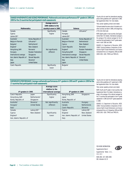#### **CHANGE IN MATHEMATICS AND SCIENCE PERFORMANCE : Mathematics and science performance of 8th-graders in 1995 and 1999 for the 23 countries that participated in both assessments**

|                           |                           | Average score in        |                           |                           |  |
|---------------------------|---------------------------|-------------------------|---------------------------|---------------------------|--|
|                           |                           | 1999 relative to the    |                           |                           |  |
| <b>Mathematics</b>        |                           | country's score in 1995 | Science                   |                           |  |
| Canada                    |                           | Significantly           | Canada                    | Lithuania $1,3$           |  |
| Cyprus                    |                           | higher                  | Hungary                   |                           |  |
| Latvia-LSS1,2             |                           |                         | Latvia-LSS1,2             |                           |  |
| Australia <sup>1</sup>    | Korea, Republic of        |                         | Australia <sup>1</sup>    | Korea, Republic of        |  |
| Belgium-Flemish           | Lithuania $1,3$           |                         | Belgium-Flemish           | Netherlands <sup>1</sup>  |  |
| Bulgaria <sup>1</sup>     | Netherlands <sup>1</sup>  |                         | Cyprus                    | New Zealand               |  |
| England <sup>1</sup>      | New Zealand               |                         | Czech Republic            | Romania <sup>1</sup>      |  |
| Hong Kong, SAR            | Romania <sup>1</sup>      | Not significantly       | England <sup>1</sup>      | <b>Russian Federation</b> |  |
| Hungary                   | <b>Russian Federation</b> | different               | Hong Kong SAR             | Singapore                 |  |
| International average     | Singapore                 |                         | International average     | Slovak Republic           |  |
| Iran, Islamic Republic of | Slovak Republic           |                         | Iran, Islamic Republic of | Slovenia <sup>1</sup>     |  |
| Italy                     | Slovenia <sup>1</sup>     |                         | Italy                     | <b>United States</b>      |  |
| Japan                     | <b>United States</b>      |                         | Japan                     |                           |  |
| Czech Republic            |                           | Significantly           | Bulgaria <sup>1</sup>     |                           |  |
|                           |                           | lower                   |                           |                           |  |

1 Country did not meet the international sampling and/or other guidelines at 8<sup>th</sup>-grade level in 1995. See *Supplemental Note 4* for more details.

2 Only Latvian-speaking schools were tested.

3 Lithuania tested the same cohort of students as in other countries, but later in 1999, at the beginning of the next school year.

NOTE: Eighth grade in most countries. See *Supplemental Note 4* for details. International average is the average of the national averages for the 23 countries that participated in the 8<sup>th</sup>-grade assessment in both 1995 and 1999.

SOURCE: U.S. Department of Education, NCES. (2000). *Pursuing Excellence: Comparisons of International Eighth-Grade Mathematics and Science Achievement from a U.S. Perspective, 1995 and 1999* (NCES 2001–028) (TIMSS and TIMSS-R).

#### **MATHEMATICS PERFORMANCE: Average mathematics performance of 4th-graders in 1995 and 8th-graders in 1999 for the 17 countries that participated in both assessments**

|                                  |                           | Average score         |                                  |                         |  |
|----------------------------------|---------------------------|-----------------------|----------------------------------|-------------------------|--|
|                                  |                           | relative to the       |                                  |                         |  |
| 4 <sup>th</sup> -graders in 1995 |                           | international average | 8 <sup>th</sup> -graders in 1999 |                         |  |
| Czech Republic                   | Japan                     | Significantly         | Hong Kong, SAR                   | Singapore               |  |
| Hong Kong, SAR                   | Netherlands <sup>1</sup>  | higher                | Japan                            |                         |  |
| Korea, Republic of               | Singapore                 |                       | Korea, Republic of               |                         |  |
| Australia <sup>1</sup>           | Slovenia <sup>1</sup>     | Not significantly     | Australia                        | Hungary                 |  |
| Hungary <sup>1</sup>             | <b>United States</b>      | different             | Canada                           | <b>Netherlands</b>      |  |
| Italy <sup>1</sup>               |                           |                       | Czech Republic                   | Slovenia                |  |
| Canada                           | Latvia-LSS <sup>1,2</sup> |                       | Cyprus                           | Latvia-LSS <sup>2</sup> |  |
| Cyprus                           | New Zealand               | Significantly         | England                          | New Zealand             |  |
| England <sup>1</sup>             |                           | lower                 | Iran, Islamic Republic of        | <b>United States</b>    |  |
| Iran, Islamic Republic of        |                           |                       | Italy                            |                         |  |

1 Country did not meet the international sampling and/or other quidelines at 4<sup>th</sup>-grade level in 1995. See *Supplemental Note 4* for more details.

2 Only Latvian-speaking schools were tested.

NOTE: Fourth and 8th grade in most countries. See *Supplemental Note 4* for details. International average is the average of the national averages for the 17 countries that participated in the 4<sup>th</sup>-grade assessment in 1995 and the 8<sup>th</sup>-grade assessment in 1999.

SOURCE: U.S. Department of Education, NCES. (2000). *Pursuing Excellence: Comparisons of International Eighth-Grade Mathematics and Science Achievement from a U.S. Perspective, 1995 and 1999* (NCES 2001–028) (TIMSS and TIMSS-R).

FOR MORE INFORMATION: Supplemental Note 4 Supplemental Tables 13-1, 13-2, 13-3 NCES 2001–027, NCES 2000– 062, Indicators 18, 19

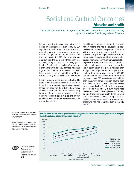### *Social and Cultural Outcomes* **Education and Health**

*The better educated a person is, the more likely that person is to report being in "very good" or "excellent" health, regardless of income.*

Better education is associated with better health. In the National Health Interview Survey, the National Center for Health Statistics annually surveys people concerning their health. One question asks respondents to rate their own health. In 1997, the better educated a person was, the more likely that person was to report being in "excellent" or "very good" health. People with a bachelor's degree or higher were twice as likely as those without a high school diploma or equivalent to report being in excellent or very good health (80 versus 39 percent) (see supplemental table 14-1).

Family income was also related to health. The more family income a person had, the more likely that person was to report being in excellent or very good health. In 1997, those with a family income of \$75,000 or more were nearly twice as likely as people making less than \$20,000 to report being in excellent or very good health (80 versus 41 percent) (see supplemental table 14-1).

In addition to this strong relationship between family income and health, education is positively related to health, independent of income. Within each income range, people with a bachelor's degree or higher reported being in better health than people with some education beyond high school, who, in turn, reported being in better health than high school completers. High school completers, in turn, reported being in better health than people with less than a high school diploma. For example, for all adults with a family income between \$35,000 and \$54,999 in 1997, those with a bachelor's degree or higher (80 percent) were more likely than those with some education beyond high school (71 percent) to report being in excellent or very good health. People with some education beyond high school, in turn, were more likely than high school completers (63 percent) to report being in good health. Finally, people with a high school diploma or equivalent reported having better health on average than those who had not completed high school (49 percent).

NOTE: Includes those who responded excellent or very good on a scale of excellent, very good, good, fair, and poor.

SOURCE: U.S. Department of Health and Human Services, Centers for Disease Control, National Center for Health Statistics. National Health Interview Survey, 1997.



FOR MORE INFORMATION: Supplemental Note 1 Supplemental Table 14-1 Bjorner et al. 1996; Lantz et al. 2001



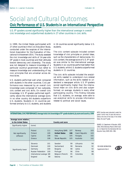### *Social and Cultural Outcomes* **Civic Performance of U.S. Students in an International Perspective**

U.S. 9<sup>th</sup>-graders scored significantly higher than the international average in overall *civic knowledge and outperformed students in 27 other countries in civic skills.*

In 1999, the United States participated with 27 other countries in the Civic Education Study, conducted under the auspices of the International Association for the Evaluation of Educational Achievement (IEA). The study assessed the civic knowledge and skills of 14-year-olds  $(9<sup>th</sup> grade in most countries)$  and their attitudes toward democracy and citizenship. The study was not designed to measure knowledge of a particular country's government but rather to measure knowledge and understanding of key civic principles that are universal across democracies.

U.S. students performed well when compared with students in the other countries. Civic performance was measured by an overall civic knowledge scale composed of two subscales, civic content and civic skills. On overall civic knowledge, U.S. 9<sup>th</sup>-graders performed significantly above the international average score. In no other country did students outperform U.S. students. Students in 11 countries performed similarly to U.S. students, and students

in 16 countries scored significantly below U.S. students.

The civic content subscale included content knowledge of civic principles or pivotal ideas, such as the characteristics of democracies. On civic content, the average score of U.S.  $9<sup>th</sup>$ -graders was similar to the international average. Students in six countries performed better than U.S. students, while U.S. students outperformed students in 11 countries.

The civic skills subscale included the analytical skills needed to understand civic-related information, such as the skills needed to understand a newspaper article. U.S. 9<sup>th</sup>-graders scored significantly higher than the international mean on civic skills and also outperformed, on average, students in every other participating country. This finding indicates that U.S. students, on average, were able to use analytical skills to process information related to political and social issues.

#### **INTERNATIONAL CIVIC PERFORMANCE: Average total civic knowledge of 9th-grade students, by score and country: 1999**

| Average score relative |                           |     |                      |     |                |     |
|------------------------|---------------------------|-----|----------------------|-----|----------------|-----|
| to the United States   |                           |     | Country and score    |     |                |     |
| Significantly higher   | (none)                    |     |                      |     |                |     |
|                        | Poland                    | 111 | Hong Kong (SAR)      | 107 | Norway         | 103 |
| Not significantly      | Finland                   | 109 | <b>United States</b> | 106 | Czech Republic | 103 |
| different              | Cyprus                    | 108 | <b>Italy</b>         | 105 | Hungary        | 102 |
|                        | Greece                    | 108 | Slovak Republic      | 105 | Australia      | 102 |
|                        | Slovenia                  | 101 | Sweden               | 99  | Lithuania      | 94  |
|                        | <b>Denmark</b>            | 100 | Switzerland          | 98  | Romania        | 92  |
| Significantly lower    | Germany                   | 100 | <b>Bulgaria</b>      | 98  | Latvia         | 92  |
|                        | <b>Russian Federation</b> | 100 | Portugal             | 96  | Chile          | 88  |
|                        | International average 100 |     | Belgium (French)     | 95  | Colombia       | 86  |
|                        | England                   | 99  | Estonia              | 94  |                |     |
|                        |                           |     |                      |     |                |     |

NOTE: Countries were instructed to select the grade in which most 14-year-olds were enrolled at the time of the study. In the United States, this was 9<sup>th</sup> grade.

SOURCE: U.S. Department of Education, NCES. (2001). *What Democracy Means to Ninth-Graders: U.S. Results from the International IEA Civic Education Study* (NCES 2001–096).

FOR MORE INFORMATION: Supplemental Note 4

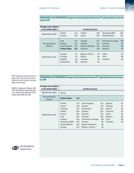**INTERNATIONAL CIVIC PERFORMANCE: Average civic content subscale performance of 9th-grade students, by score and country: 1999**

| Average score relative |                      |     |                           |     |                       |     |
|------------------------|----------------------|-----|---------------------------|-----|-----------------------|-----|
| to the United States   |                      |     | Country and score         |     |                       |     |
|                        | Poland               | 112 | Finland                   | 108 | Hong Kong (SAR)       | 108 |
| Significantly higher   | Greece               | 109 | Cyprus                    | 108 | Slovak Republic       | 107 |
|                        |                      |     |                           |     |                       |     |
|                        |                      |     |                           |     |                       |     |
|                        | <b>Italy</b>         | 105 | Hungary                   | 102 | International average | 100 |
| Not significantly      | Norway               | 103 | Slovenia                  | 102 | Australia             | 99  |
| different              | Czech Republic       | 103 | <b>Russian Federation</b> | 102 | Germany               | 99  |
|                        | <b>United States</b> | 102 | Denmark                   | 100 | <b>Bulgaria</b>       | 99  |
|                        |                      |     |                           |     |                       |     |
|                        | Sweden               | 97  | Belgium (French)          | 94  | Latvia                | 92  |
| Significantly lower    | Portugal             | 97  | Estonia                   | 94  | Chile                 | 89  |
|                        |                      | 96  | Lithuania                 | 94  | Colombia              | 89  |
|                        | England              |     |                           |     |                       |     |
|                        | Switzerland          | 96  | Romania                   | 93  |                       |     |
|                        |                      |     |                           |     |                       |     |

NOTE: Countries were instructed to select the grade in which most 14-year-olds were enrolled at the time of the study. In the United States, this was 9th grade.

SOURCE: U.S. Department of Education, NCES. (2001). *What Democracy Means to Ninth-Graders: U.S. Results from the International IEA Civic Education Study* (NCES 2001–096).

INTERNATIONAL CIVIC PERFORMANCE: Average civic skills subscale performance of 9<sup>th</sup>-grade students, by score and coun**try: 1999**

| Average score relative<br>to the United States |                                                                                                                        |                                                                    | Country and score                                                                                                                                              |                                                                 |                                                                                        |                                              |
|------------------------------------------------|------------------------------------------------------------------------------------------------------------------------|--------------------------------------------------------------------|----------------------------------------------------------------------------------------------------------------------------------------------------------------|-----------------------------------------------------------------|----------------------------------------------------------------------------------------|----------------------------------------------|
| Significantly higher                           | (None)                                                                                                                 |                                                                    |                                                                                                                                                                |                                                                 |                                                                                        |                                              |
| Not significantly<br>different                 | <b>United States</b>                                                                                                   | 114                                                                |                                                                                                                                                                |                                                                 |                                                                                        |                                              |
| Significantly lower                            | Finland<br>Cyprus<br>Australia<br>Poland<br>Greece<br>Italy<br>England<br>Hong Kong (SAR)<br>Slovak Republic<br>Norway | 110<br>108<br>107<br>106<br>105<br>105<br>105<br>104<br>103<br>103 | Czech Republic<br>Sweden<br>Switzerland<br>Hungary<br>Germany<br>Denmark<br>International average<br>Slovenia<br><b>Russian Federation</b><br>Belgium (French) | 102<br>102<br>102<br>101<br>101<br>100<br>100<br>99<br>96<br>96 | Bulgaria<br>Portugal<br>Estonia<br>Lithuania<br>Latvia<br>Romania<br>Chile<br>Colombia | 95<br>95<br>95<br>93<br>92<br>90<br>88<br>84 |



FOR MORE INFORMATION: Supplemental Note 4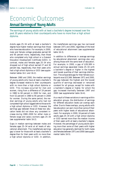### *Economic Outcomes* **Annual Earnings of Young Adults**

*The earnings of young adults with at least a bachelor's degree increased over the past 20 years relative to their counterparts who have no more than a high school diploma.*

Adults ages 25–34 with at least a bachelor's degree have higher median earnings than those who have less education. For example, in 2000, male and female college graduates earned 60 and 95 percent more, respectively, than those who completed only high school or a General Education Development Certificate (GED). In contrast, males and females ages 25–34 who dropped out of high school earned 27 and 30 percent less, respectively, than their peers who had a high school diploma or GED (see supplemental tables 16-1 and 16-2).

Between 1980 and 2000, the median earnings of young adults who have at least a bachelor's degree increased relative to their counterparts with no more than a high school diploma or GED. This increase occurred for men and women, rising from a difference of 19 percent in 1980 to 60 percent in 2000 for men, and from 52 percent in 1980 to 95 percent in 2000 for women. During the same period, the median earnings of young adults who had not completed high school lagged behind those with a high school diploma or GED. However, the earnings gap between those at these two education levels did not show any consistent increase during 1980–2000 for either male or female wage and salary workers ages 25–34 (see supplemental table 16-2).

Gaps in median earnings between males and females ages 25–34 exist at all levels of educational attainment. The male/female earnings gap is lower for those with at least a bachelor's degree than for their peers with no more than a high school diploma or GED. In addition,

the male/female earnings gap has narrowed between 1971 and 2000, regardless of the level of educational attainment (see supplemental table 16-3).

In addition to differences in average earnings by educational attainment, earnings also vary among those with the same level of education. For example, in 2000, a gap of \$39,389 in annual earnings separated males 25–34 with a bachelor's degree or higher in the highest and lowest quartiles of their earnings distribution. The comparable gap for their female counterparts was \$23,566. Between 1971 and 2000, the gap between the highest and the lowest quartile of earnings decreased or remained constant for all groups, except for males with a bachelor's degree or higher, for whom the gap increased markedly between 1997 and 2000 (see supplemental table 16-4).

As a result of these variations in earnings within education groups, the distribution of earnings for different education levels can overlap each other. Due to these overlaps, young adults with less education can earn more than some of their peers with higher levels of educational attainment. For example, in 2000, 16 percent of male adults ages 25–34 with a high school diploma or GED earned more than the median income of their peers with at least a bachelor's degree. However, the percentage of young adults earning more than some of their peers with higher education has generally declined for both males and females between 1971 and 2000 (see supplemental table 16-5).